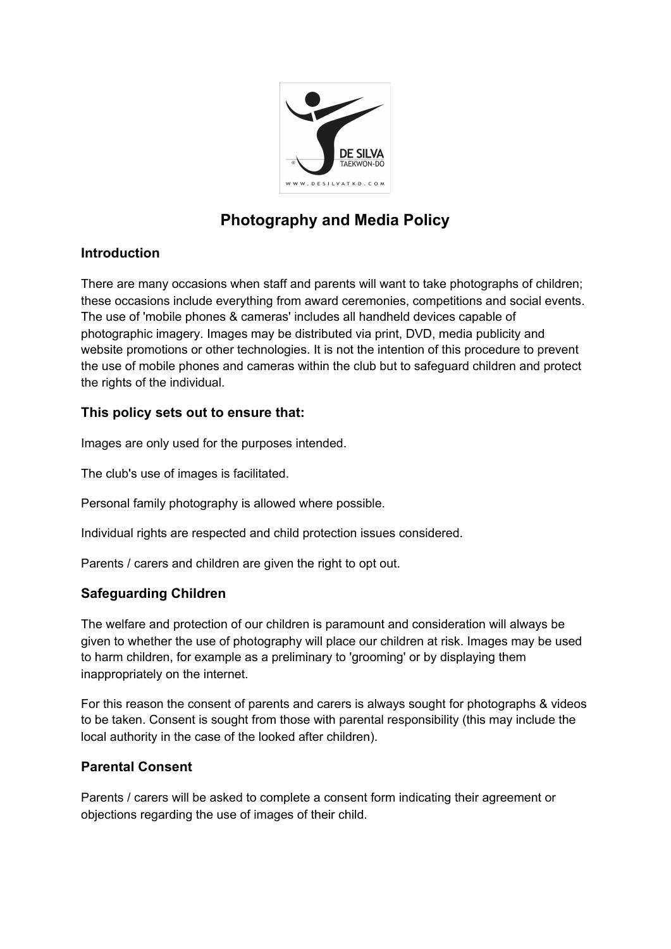

# **Photography and Media Policy**

#### **Introduction**

There are many occasions when staff and parents will want to take photographs of children; these occasions include everything from award ceremonies, competitions and social events. The use of 'mobile phones & cameras' includes all handheld devices capable of photographic imagery. Images may be distributed via print, DVD, media publicity and website promotions or other technologies. It is not the intention of this procedure to prevent the use of mobile phones and cameras within the club but to safeguard children and protect the rights of the individual.

### **This policy sets out to ensure that:**

Images are only used for the purposes intended.

The club's use of images is facilitated.

Personal family photography is allowed where possible.

Individual rights are respected and child protection issues considered.

Parents / carers and children are given the right to opt out.

### **Safeguarding Children**

The welfare and protection of our children is paramount and consideration will always be given to whether the use of photography will place our children at risk. Images may be used to harm children, for example as a preliminary to 'grooming' or by displaying them inappropriately on the internet.

For this reason the consent of parents and carers is always sought for photographs & videos to be taken. Consent is sought from those with parental responsibility (this may include the local authority in the case of the looked after children).

#### **Parental Consent**

Parents / carers will be asked to complete a consent form indicating their agreement or objections regarding the use of images of their child.